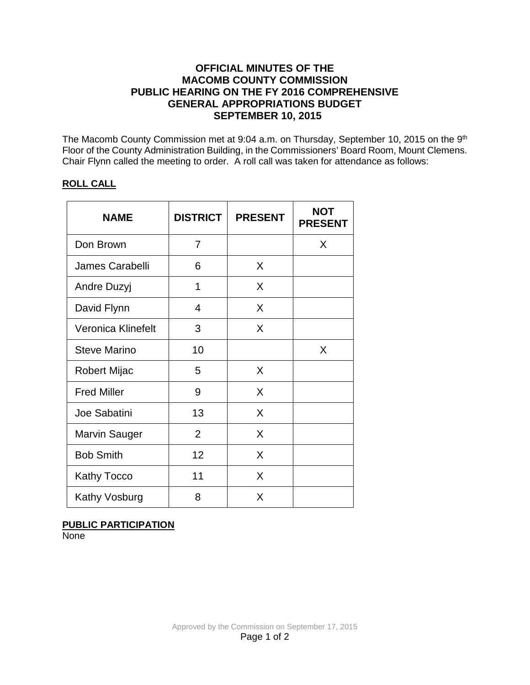## **OFFICIAL MINUTES OF THE MACOMB COUNTY COMMISSION PUBLIC HEARING ON THE FY 2016 COMPREHENSIVE GENERAL APPROPRIATIONS BUDGET SEPTEMBER 10, 2015**

The Macomb County Commission met at 9:04 a.m. on Thursday, September 10, 2015 on the 9<sup>th</sup> Floor of the County Administration Building, in the Commissioners' Board Room, Mount Clemens. Chair Flynn called the meeting to order. A roll call was taken for attendance as follows:

### **ROLL CALL**

| <b>NAME</b>         | <b>DISTRICT</b> | <b>PRESENT</b> | <b>NOT</b><br><b>PRESENT</b> |
|---------------------|-----------------|----------------|------------------------------|
| Don Brown           | 7               |                | X                            |
| James Carabelli     | 6               | X              |                              |
| Andre Duzyj         | 1               | X              |                              |
| David Flynn         | 4               | X              |                              |
| Veronica Klinefelt  | 3               | X              |                              |
| <b>Steve Marino</b> | 10              |                | X                            |
| Robert Mijac        | 5               | X              |                              |
| <b>Fred Miller</b>  | 9               | X              |                              |
| Joe Sabatini        | 13              | X              |                              |
| Marvin Sauger       | $\overline{2}$  | X              |                              |
| <b>Bob Smith</b>    | 12              | X              |                              |
| <b>Kathy Tocco</b>  | 11              | X              |                              |
| Kathy Vosburg       | 8               | X              |                              |

### **PUBLIC PARTICIPATION**

None